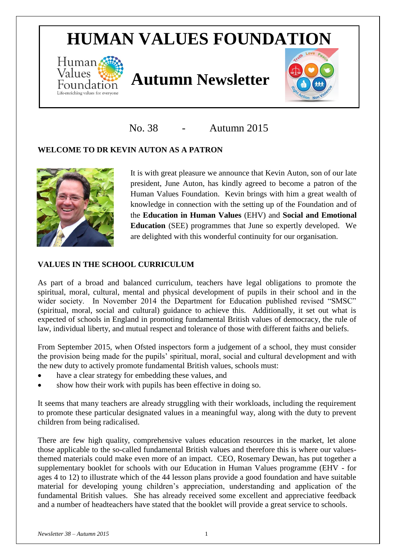# **HUMAN VALUES FOUNDATION**



# *Values* **Autumn Newsletter**



No. 38 - Autumn 2015

# **WELCOME TO DR KEVIN AUTON AS A PATRON**



It is with great pleasure we announce that Kevin Auton, son of our late president, June Auton, has kindly agreed to become a patron of the Human Values Foundation. Kevin brings with him a great wealth of knowledge in connection with the setting up of the Foundation and of the **Education in Human Values** (EHV) and **Social and Emotional Education** (SEE) programmes that June so expertly developed. We are delighted with this wonderful continuity for our organisation.

### **VALUES IN THE SCHOOL CURRICULUM**

As part of a broad and balanced curriculum, teachers have legal obligations to promote the spiritual, moral, cultural, mental and physical development of pupils in their school and in the wider society. In November 2014 the Department for Education published revised "SMSC" (spiritual, moral, social and cultural) guidance to achieve this. Additionally, it set out what is expected of schools in England in promoting fundamental British values of democracy, the rule of law, individual liberty, and mutual respect and tolerance of those with different faiths and beliefs.

From September 2015, when Ofsted inspectors form a judgement of a school, they must consider the provision being made for the pupils' spiritual, moral, social and cultural development and with the new duty to actively promote fundamental British values, schools must:

- have a clear strategy for embedding these values, and
- show how their work with pupils has been effective in doing so.

It seems that many teachers are already struggling with their workloads, including the requirement to promote these particular designated values in a meaningful way, along with the duty to prevent children from being radicalised.

There are few high quality, comprehensive values education resources in the market, let alone those applicable to the so-called fundamental British values and therefore this is where our valuesthemed materials could make even more of an impact. CEO, Rosemary Dewan, has put together a supplementary booklet for schools with our Education in Human Values programme (EHV - for ages 4 to 12) to illustrate which of the 44 lesson plans provide a good foundation and have suitable material for developing young children's appreciation, understanding and application of the fundamental British values. She has already received some excellent and appreciative feedback and a number of headteachers have stated that the booklet will provide a great service to schools.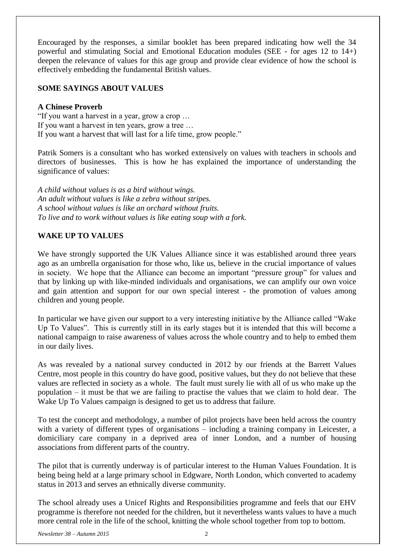Encouraged by the responses, a similar booklet has been prepared indicating how well the 34 powerful and stimulating Social and Emotional Education modules (SEE - for ages 12 to 14+) deepen the relevance of values for this age group and provide clear evidence of how the school is effectively embedding the fundamental British values.

#### **SOME SAYINGS ABOUT VALUES**

#### **A Chinese Proverb**

"If you want a harvest in a year, grow a crop … If you want a harvest in ten years, grow a tree … If you want a harvest that will last for a life time, grow people."

Patrik Somers is a consultant who has worked extensively on values with teachers in schools and directors of businesses. This is how he has explained the importance of understanding the significance of values:

*A child without values is as a bird without wings. An adult without values is like a zebra without stripes. A school without values is like an orchard without fruits. To live and to work without values is like eating soup with a fork.*

### **WAKE UP TO VALUES**

We have strongly supported the UK Values Alliance since it was established around three years ago as an umbrella organisation for those who, like us, believe in the crucial importance of values in society. We hope that the Alliance can become an important "pressure group" for values and that by linking up with like-minded individuals and organisations, we can amplify our own voice and gain attention and support for our own special interest - the promotion of values among children and young people.

In particular we have given our support to a very interesting initiative by the Alliance called "Wake Up To Values". This is currently still in its early stages but it is intended that this will become a national campaign to raise awareness of values across the whole country and to help to embed them in our daily lives.

As was revealed by a national survey conducted in 2012 by our friends at the Barrett Values Centre, most people in this country do have good, positive values, but they do not believe that these values are reflected in society as a whole. The fault must surely lie with all of us who make up the population – it must be that we are failing to practise the values that we claim to hold dear. The Wake Up To Values campaign is designed to get us to address that failure.

To test the concept and methodology, a number of pilot projects have been held across the country with a variety of different types of organisations – including a training company in Leicester, a domiciliary care company in a deprived area of inner London, and a number of housing associations from different parts of the country.

The pilot that is currently underway is of particular interest to the Human Values Foundation. It is being being held at a large primary school in Edgware, North London, which converted to academy status in 2013 and serves an ethnically diverse community.

The school already uses a Unicef Rights and Responsibilities programme and feels that our EHV programme is therefore not needed for the children, but it nevertheless wants values to have a much more central role in the life of the school, knitting the whole school together from top to bottom.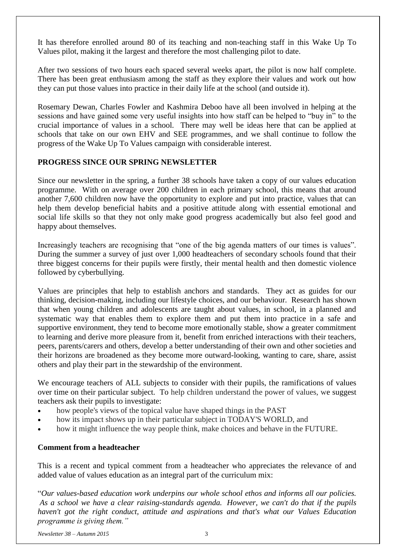It has therefore enrolled around 80 of its teaching and non-teaching staff in this Wake Up To Values pilot, making it the largest and therefore the most challenging pilot to date.

After two sessions of two hours each spaced several weeks apart, the pilot is now half complete. There has been great enthusiasm among the staff as they explore their values and work out how they can put those values into practice in their daily life at the school (and outside it).

Rosemary Dewan, Charles Fowler and Kashmira Deboo have all been involved in helping at the sessions and have gained some very useful insights into how staff can be helped to "buy in" to the crucial importance of values in a school. There may well be ideas here that can be applied at schools that take on our own EHV and SEE programmes, and we shall continue to follow the progress of the Wake Up To Values campaign with considerable interest.

#### **PROGRESS SINCE OUR SPRING NEWSLETTER**

Since our newsletter in the spring, a further 38 schools have taken a copy of our values education programme. With on average over 200 children in each primary school, this means that around another 7,600 children now have the opportunity to explore and put into practice, values that can help them develop beneficial habits and a positive attitude along with essential emotional and social life skills so that they not only make good progress academically but also feel good and happy about themselves.

Increasingly teachers are recognising that "one of the big agenda matters of our times is values". During the summer a survey of just over 1,000 headteachers of secondary schools found that their three biggest concerns for their pupils were firstly, their mental health and then domestic violence followed by cyberbullying.

Values are principles that help to establish anchors and standards. They act as guides for our thinking, decision-making, including our lifestyle choices, and our behaviour. Research has shown that when young children and adolescents are taught about values, in school, in a planned and systematic way that enables them to explore them and put them into practice in a safe and supportive environment, they tend to become more emotionally stable, show a greater commitment to learning and derive more pleasure from it, benefit from enriched interactions with their teachers, peers, parents/carers and others, develop a better understanding of their own and other societies and their horizons are broadened as they become more outward-looking, wanting to care, share, assist others and play their part in the stewardship of the environment.

We encourage teachers of ALL subjects to consider with their pupils, the ramifications of values over time on their particular subject. To help children understand the power of values, we suggest teachers ask their pupils to investigate:

- how people's views of the topical value have shaped things in the PAST
- how its impact shows up in their particular subject in TODAY'S WORLD, and
- how it might influence the way people think, make choices and behave in the FUTURE.

#### **Comment from a headteacher**

This is a recent and typical comment from a headteacher who appreciates the relevance of and added value of values education as an integral part of the curriculum mix:

"*Our values-based education work underpins our whole school ethos and informs all our policies. As a school we have a clear raising-standards agenda. However, we can't do that if the pupils haven't got the right conduct, attitude and aspirations and that's what our Values Education programme is giving them."*

*Newsletter 38 – Autumn 2015* 3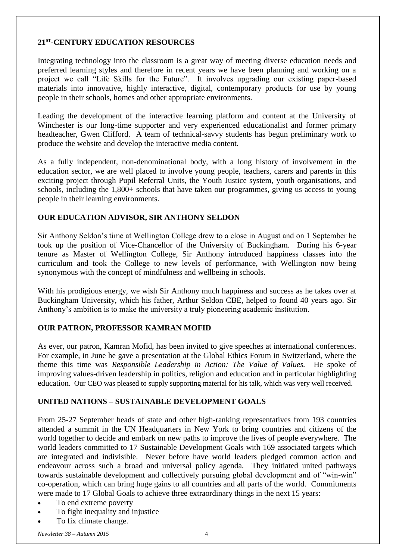### **21ST -CENTURY EDUCATION RESOURCES**

Integrating technology into the classroom is a great way of meeting diverse education needs and preferred learning styles and therefore in recent years we have been planning and working on a project we call "Life Skills for the Future". It involves upgrading our existing paper-based materials into innovative, highly interactive, digital, contemporary products for use by young people in their schools, homes and other appropriate environments.

Leading the development of the interactive learning platform and content at the University of Winchester is our long-time supporter and very experienced educationalist and former primary headteacher, Gwen Clifford. A team of technical-savvy students has begun preliminary work to produce the website and develop the interactive media content.

As a fully independent, non-denominational body, with a long history of involvement in the education sector, we are well placed to involve young people, teachers, carers and parents in this exciting project through Pupil Referral Units, the Youth Justice system, youth organisations, and schools, including the 1,800+ schools that have taken our programmes, giving us access to young people in their learning environments.

### **OUR EDUCATION ADVISOR, SIR ANTHONY SELDON**

Sir Anthony Seldon's time at Wellington College drew to a close in August and on 1 September he took up the position of Vice-Chancellor of the University of Buckingham. During his 6-year tenure as Master of Wellington College, Sir Anthony introduced happiness classes into the curriculum and took the College to new levels of performance, with Wellington now being synonymous with the concept of mindfulness and wellbeing in schools.

With his prodigious energy, we wish Sir Anthony much happiness and success as he takes over at Buckingham University, which his father, Arthur Seldon CBE, helped to found 40 years ago. Sir Anthony's ambition is to make the university a truly pioneering academic institution.

#### **OUR PATRON, PROFESSOR KAMRAN MOFID**

As ever, our patron, Kamran Mofid, has been invited to give speeches at international conferences. For example, in June he gave a presentation at the Global Ethics Forum in Switzerland, where the theme this time was *Responsible Leadership in Action: The Value of Values.* He spoke of improving values-driven leadership in politics, religion and education and in particular highlighting education. Our CEO was pleased to supply supporting material for his talk, which was very well received.

#### **UNITED NATIONS – SUSTAINABLE DEVELOPMENT GOALS**

From 25-27 September heads of state and other high-ranking representatives from 193 countries attended a summit in the UN Headquarters in New York to bring countries and citizens of the world together to decide and embark on new paths to improve the lives of people everywhere. The world leaders committed to 17 Sustainable Development Goals with 169 associated targets which are integrated and indivisible. Never before have world leaders pledged common action and endeavour across such a broad and universal policy agenda. They initiated united pathways towards sustainable development and collectively pursuing global development and of "win-win" co-operation, which can bring huge gains to all countries and all parts of the world. Commitments were made to 17 Global Goals to achieve three extraordinary things in the next 15 years:

- To end extreme poverty
- To fight inequality and injustice
- To fix climate change.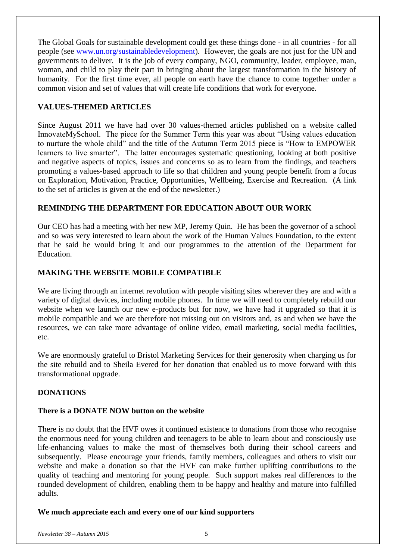The Global Goals for sustainable development could get these things done - in all countries - for all people (see [www.un.org/sustainabledevelopment\)](http://www.un.org/sustainabledevelopment/). However, the goals are not just for the UN and governments to deliver. It is the job of every company, NGO, community, leader, employee, man, woman, and child to play their part in bringing about the largest transformation in the history of humanity. For the first time ever, all people on earth have the chance to come together under a common vision and set of values that will create life conditions that work for everyone.

## **VALUES-THEMED ARTICLES**

Since August 2011 we have had over 30 values-themed articles published on a website called InnovateMySchool. The piece for the Summer Term this year was about "Using values education to nurture the whole child" and the title of the Autumn Term 2015 piece is "How to EMPOWER learners to live smarter". The latter encourages systematic questioning, looking at both positive and negative aspects of topics, issues and concerns so as to learn from the findings, and teachers promoting a values-based approach to life so that children and young people benefit from a focus on Exploration, Motivation, Practice, Opportunities, Wellbeing, Exercise and Recreation. (A link to the set of articles is given at the end of the newsletter.)

#### **REMINDING THE DEPARTMENT FOR EDUCATION ABOUT OUR WORK**

Our CEO has had a meeting with her new MP, Jeremy Quin. He has been the governor of a school and so was very interested to learn about the work of the Human Values Foundation, to the extent that he said he would bring it and our programmes to the attention of the Department for Education.

#### **MAKING THE WEBSITE MOBILE COMPATIBLE**

We are living through an internet revolution with people visiting sites wherever they are and with a variety of digital devices, including mobile phones. In time we will need to completely rebuild our website when we launch our new e-products but for now, we have had it upgraded so that it is mobile compatible and we are therefore not missing out on visitors and, as and when we have the resources, we can take more advantage of online video, email marketing, social media facilities, etc.

We are enormously grateful to Bristol Marketing Services for their generosity when charging us for the site rebuild and to Sheila Evered for her donation that enabled us to move forward with this transformational upgrade.

# **DONATIONS**

#### **There is a DONATE NOW button on the website**

There is no doubt that the HVF owes it continued existence to donations from those who recognise the enormous need for young children and teenagers to be able to learn about and consciously use life-enhancing values to make the most of themselves both during their school careers and subsequently. Please encourage your friends, family members, colleagues and others to visit our website and make a donation so that the HVF can make further uplifting contributions to the quality of teaching and mentoring for young people. Such support makes real differences to the rounded development of children, enabling them to be happy and healthy and mature into fulfilled adults.

#### **We much appreciate each and every one of our kind supporters**